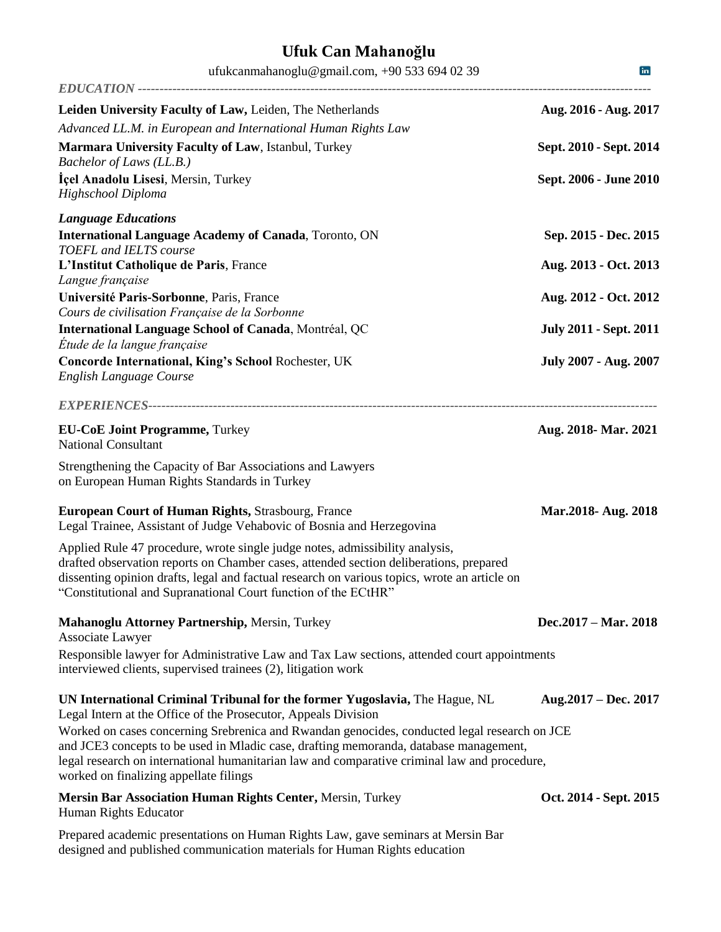| ufukcanmahanoglu@gmail.com, +90 533 694 02 39                                                                                                                                                                                                                                                                                            | in                            |
|------------------------------------------------------------------------------------------------------------------------------------------------------------------------------------------------------------------------------------------------------------------------------------------------------------------------------------------|-------------------------------|
|                                                                                                                                                                                                                                                                                                                                          |                               |
| Leiden University Faculty of Law, Leiden, The Netherlands<br>Advanced LL.M. in European and International Human Rights Law                                                                                                                                                                                                               | Aug. 2016 - Aug. 2017         |
| Marmara University Faculty of Law, Istanbul, Turkey<br>Bachelor of Laws (LL.B.)                                                                                                                                                                                                                                                          | Sept. 2010 - Sept. 2014       |
| Içel Anadolu Lisesi, Mersin, Turkey<br>Highschool Diploma                                                                                                                                                                                                                                                                                | Sept. 2006 - June 2010        |
| <b>Language Educations</b>                                                                                                                                                                                                                                                                                                               |                               |
| <b>International Language Academy of Canada, Toronto, ON</b><br><b>TOEFL</b> and <b>IELTS</b> course                                                                                                                                                                                                                                     | Sep. 2015 - Dec. 2015         |
| L'Institut Catholique de Paris, France<br>Langue française                                                                                                                                                                                                                                                                               | Aug. 2013 - Oct. 2013         |
| Université Paris-Sorbonne, Paris, France<br>Cours de civilisation Française de la Sorbonne                                                                                                                                                                                                                                               | Aug. 2012 - Oct. 2012         |
| International Language School of Canada, Montréal, QC<br>Etude de la langue française                                                                                                                                                                                                                                                    | <b>July 2011 - Sept. 2011</b> |
| Concorde International, King's School Rochester, UK<br><b>English Language Course</b>                                                                                                                                                                                                                                                    | <b>July 2007 - Aug. 2007</b>  |
|                                                                                                                                                                                                                                                                                                                                          |                               |
| <b>EU-CoE Joint Programme, Turkey</b><br><b>National Consultant</b>                                                                                                                                                                                                                                                                      | Aug. 2018- Mar. 2021          |
| Strengthening the Capacity of Bar Associations and Lawyers<br>on European Human Rights Standards in Turkey                                                                                                                                                                                                                               |                               |
| <b>European Court of Human Rights, Strasbourg, France</b><br>Legal Trainee, Assistant of Judge Vehabovic of Bosnia and Herzegovina                                                                                                                                                                                                       | Mar.2018- Aug. 2018           |
| Applied Rule 47 procedure, wrote single judge notes, admissibility analysis,<br>drafted observation reports on Chamber cases, attended section deliberations, prepared<br>dissenting opinion drafts, legal and factual research on various topics, wrote an article on<br>"Constitutional and Supranational Court function of the ECtHR" |                               |
| Mahanoglu Attorney Partnership, Mersin, Turkey<br>Associate Lawyer                                                                                                                                                                                                                                                                       | Dec.2017 – Mar. 2018          |
| Responsible lawyer for Administrative Law and Tax Law sections, attended court appointments<br>interviewed clients, supervised trainees (2), litigation work                                                                                                                                                                             |                               |
| UN International Criminal Tribunal for the former Yugoslavia, The Hague, NL<br>Legal Intern at the Office of the Prosecutor, Appeals Division                                                                                                                                                                                            | Aug. $2017 - Dec. 2017$       |
| Worked on cases concerning Srebrenica and Rwandan genocides, conducted legal research on JCE<br>and JCE3 concepts to be used in Mladic case, drafting memoranda, database management,<br>legal research on international humanitarian law and comparative criminal law and procedure,<br>worked on finalizing appellate filings          |                               |
| Mersin Bar Association Human Rights Center, Mersin, Turkey<br>Human Rights Educator                                                                                                                                                                                                                                                      | Oct. 2014 - Sept. 2015        |
| Departed academic presentations on Hyman Bights Law, gave cominent of Marcin Bon                                                                                                                                                                                                                                                         |                               |

Prepared academic presentations on Human Rights Law, gave seminars at Mersin Bar designed and published communication materials for Human Rights education

## **Ufuk Can Mahanoğlu**